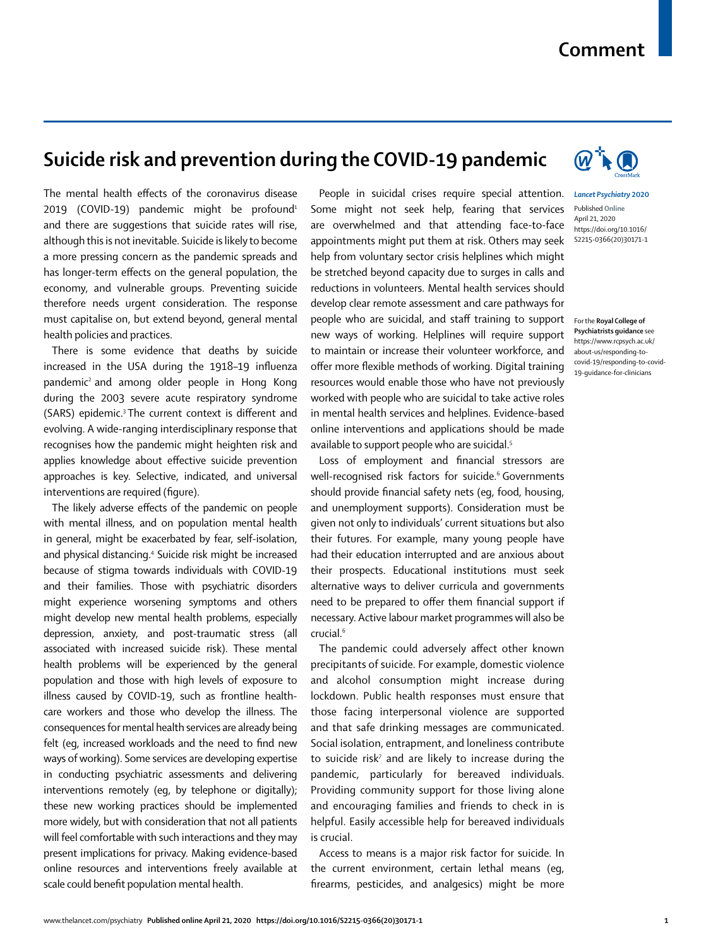## **Comment**

## **Suicide risk and prevention during the COVID-19 pandemic**

The mental health effects of the coronavirus disease 2019 (COVID-19) pandemic might be profound<sup>1</sup> and there are suggestions that suicide rates will rise, although this is not inevitable. Suicide is likely to become a more pressing concern as the pandemic spreads and has longer-term effects on the general population, the economy, and vulnerable groups. Preventing suicide therefore needs urgent consideration. The response must capitalise on, but extend beyond, general mental health policies and practices.

There is some evidence that deaths by suicide increased in the USA during the 1918–19 influenza pandemic<sup>2</sup> and among older people in Hong Kong during the 2003 severe acute respiratory syndrome (SARS) epidemic.3 The current context is different and evolving. A wide-ranging interdisciplinary response that recognises how the pandemic might heighten risk and applies knowledge about effective suicide prevention approaches is key. Selective, indicated, and universal interventions are required (figure).

The likely adverse effects of the pandemic on people with mental illness, and on population mental health in general, might be exacerbated by fear, self-isolation, and physical distancing.<sup>4</sup> Suicide risk might be increased because of stigma towards individuals with COVID-19 and their families. Those with psychiatric disorders might experience worsening symptoms and others might develop new mental health problems, especially depression, anxiety, and post-traumatic stress (all associated with increased suicide risk). These mental health problems will be experienced by the general population and those with high levels of exposure to illness caused by COVID-19, such as frontline healthcare workers and those who develop the illness. The consequences for mental health services are already being felt (eg, increased workloads and the need to find new ways of working). Some services are developing expertise in conducting psychiatric assessments and delivering interventions remotely (eg, by telephone or digitally); these new working practices should be implemented more widely, but with consideration that not all patients will feel comfortable with such interactions and they may present implications for privacy. Making evidence-based online resources and interventions freely available at scale could benefit population mental health.

People in suicidal crises require special attention. Lancet Psychiatry 2020 Some might not seek help, fearing that services are overwhelmed and that attending face-to-face appointments might put them at risk. Others may seek help from voluntary sector crisis helplines which might be stretched beyond capacity due to surges in calls and reductions in volunteers. Mental health services should develop clear remote assessment and care pathways for people who are suicidal, and staff training to [support](https://www.rcpsych.ac.uk/about-us/responding-to-covid-19/responding-to-covid-19-guidance-for-clinicians) [new ways of working](https://www.rcpsych.ac.uk/about-us/responding-to-covid-19/responding-to-covid-19-guidance-for-clinicians). Helplines will require support to maintain or increase their volunteer workforce, and offer more flexible methods of working. Digital training resources would enable those who have not previously worked with people who are suicidal to take active roles in mental health services and helplines. Evidence-based online interventions and applications should be made available to support people who are suicidal.<sup>5</sup>

Loss of employment and financial stressors are well-recognised risk factors for suicide.<sup>6</sup> Governments should provide financial safety nets (eg, food, housing, and unemployment supports). Consideration must be given not only to individuals' current situations but also their futures. For example, many young people have had their education interrupted and are anxious about their prospects. Educational institutions must seek alternative ways to deliver curricula and governments need to be prepared to offer them financial support if necessary. Active labour market programmes will also be crucial.<sup>6</sup>

The pandemic could adversely affect other known precipitants of suicide. For example, domestic violence and alcohol consumption might increase during lockdown. Public health responses must ensure that those facing interpersonal violence are supported and that safe drinking messages are communicated. Social isolation, entrapment, and loneliness contribute to suicide risk<sup>7</sup> and are likely to increase during the pandemic, particularly for bereaved individuals. Providing community support for those living alone and encouraging families and friends to check in is helpful. Easily accessible help for bereaved individuals is crucial.

Access to means is a major risk factor for suicide. In the current environment, certain lethal means (eg, firearms, pesticides, and analgesics) might be more



Published **Online**

April 21, 2020 https://doi.org/10.1016/ S2215-0366(20)30171-1

For the **Royal College of Psychiatrists guidance** see [https://www.rcpsych.ac.uk/](https://www.rcpsych.ac.uk/about-us/responding-to-covid-19/responding-to-covid-19-guidance-for-clinicians) [about-us/responding-to](https://www.rcpsych.ac.uk/about-us/responding-to-covid-19/responding-to-covid-19-guidance-for-clinicians)[covid-19/responding-to-covid-](https://www.rcpsych.ac.uk/about-us/responding-to-covid-19/responding-to-covid-19-guidance-for-clinicians)[19-guidance-for-clinicians](https://www.rcpsych.ac.uk/about-us/responding-to-covid-19/responding-to-covid-19-guidance-for-clinicians)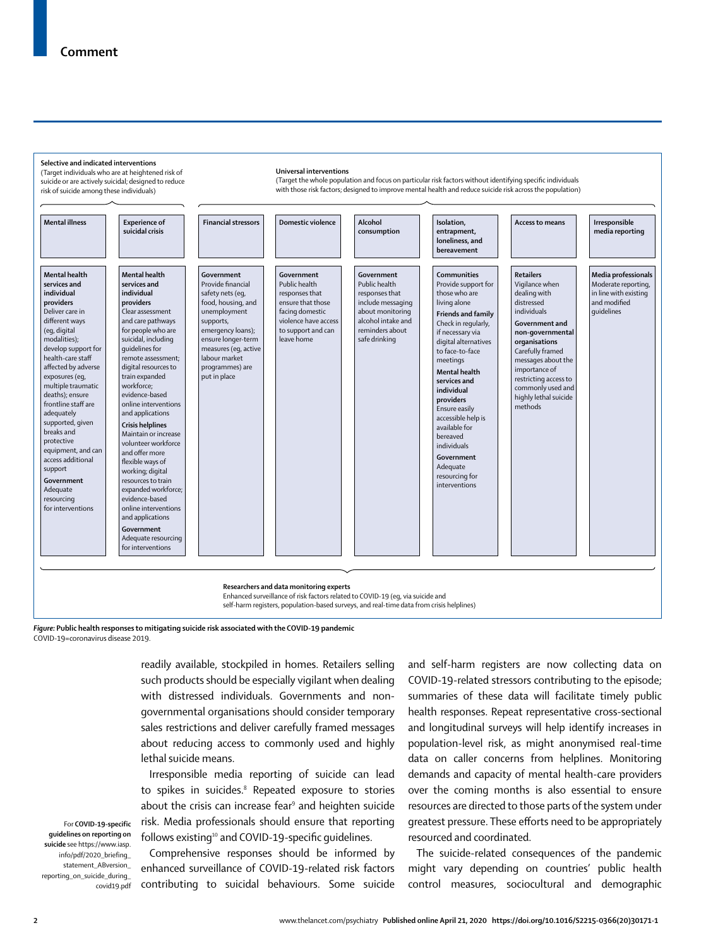

COVID-19=coronavirus disease 2019.

readily available, stockpiled in homes. Retailers selling such products should be especially vigilant when dealing with distressed individuals. Governments and nongovernmental organisations should consider temporary sales restrictions and deliver carefully framed messages about reducing access to commonly used and highly lethal suicide means.

Irresponsible media reporting of suicide can lead to spikes in suicides.<sup>8</sup> Repeated exposure to stories about the crisis can increase fear<sup>9</sup> and heighten suicide risk. Media professionals should ensure that reporting follows existing<sup>10</sup> and COVID-19-specific quidelines.

For **COVID-19-specific guidelines on reporting on suicide** see [https://www.iasp.](https://www.iasp.info/pdf/2020_briefing_statement_ABversion_reporting_on_suicide_during_covid19.pdf) [info/pdf/2020\\_briefing\\_](https://www.iasp.info/pdf/2020_briefing_statement_ABversion_reporting_on_suicide_during_covid19.pdf) [statement\\_ABversion\\_](https://www.iasp.info/pdf/2020_briefing_statement_ABversion_reporting_on_suicide_during_covid19.pdf) [reporting\\_on\\_suicide\\_during\\_](https://www.iasp.info/pdf/2020_briefing_statement_ABversion_reporting_on_suicide_during_covid19.pdf) [covid19.pdf](https://www.iasp.info/pdf/2020_briefing_statement_ABversion_reporting_on_suicide_during_covid19.pdf)

Comprehensive responses should be informed by enhanced surveillance of COVID-19-related risk factors contributing to suicidal behaviours. Some suicide and self-harm registers are now collecting data on COVID-19-related stressors contributing to the episode; summaries of these data will facilitate timely public health responses. Repeat representative cross-sectional and longitudinal surveys will help identify increases in population-level risk, as might anonymised real-time data on caller concerns from helplines. Monitoring demands and capacity of mental health-care providers over the coming months is also essential to ensure resources are directed to those parts of the system under greatest pressure. These efforts need to be appropriately resourced and coordinated.

The suicide-related consequences of the pandemic might vary depending on countries' public health control measures, sociocultural and demographic